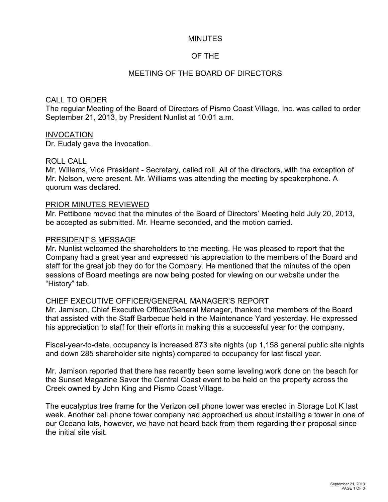### **MINUTES**

## OF THE

## MEETING OF THE BOARD OF DIRECTORS

### CALL TO ORDER

The regular Meeting of the Board of Directors of Pismo Coast Village, Inc. was called to order September 21, 2013, by President Nunlist at 10:01 a.m.

### **INVOCATION**

Dr. Eudaly gave the invocation.

### ROLL CALL

Mr. Willems, Vice President - Secretary, called roll. All of the directors, with the exception of Mr. Nelson, were present. Mr. Williams was attending the meeting by speakerphone. A quorum was declared.

#### PRIOR MINUTES REVIEWED

Mr. Pettibone moved that the minutes of the Board of Directors' Meeting held July 20, 2013, be accepted as submitted. Mr. Hearne seconded, and the motion carried.

#### PRESIDENT'S MESSAGE

Mr. Nunlist welcomed the shareholders to the meeting. He was pleased to report that the Company had a great year and expressed his appreciation to the members of the Board and staff for the great job they do for the Company. He mentioned that the minutes of the open sessions of Board meetings are now being posted for viewing on our website under the "History" tab.

### CHIEF EXECUTIVE OFFICER/GENERAL MANAGER'S REPORT

Mr. Jamison, Chief Executive Officer/General Manager, thanked the members of the Board that assisted with the Staff Barbecue held in the Maintenance Yard yesterday. He expressed his appreciation to staff for their efforts in making this a successful year for the company.

Fiscal-year-to-date, occupancy is increased 873 site nights (up 1,158 general public site nights and down 285 shareholder site nights) compared to occupancy for last fiscal year.

Mr. Jamison reported that there has recently been some leveling work done on the beach for the Sunset Magazine Savor the Central Coast event to be held on the property across the Creek owned by John King and Pismo Coast Village.

The eucalyptus tree frame for the Verizon cell phone tower was erected in Storage Lot K last week. Another cell phone tower company had approached us about installing a tower in one of our Oceano lots, however, we have not heard back from them regarding their proposal since the initial site visit.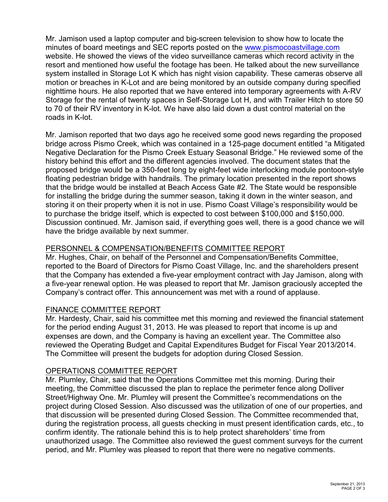Mr. Jamison used a laptop computer and big-screen television to show how to locate the minutes of board meetings and SEC reports posted on the [www.pismocoastvillage.com](http://www.pismocoastvillage.com) website. He showed the views of the video surveillance cameras which record activity in the resort and mentioned how useful the footage has been. He talked about the new surveillance system installed in Storage Lot K which has night vision capability. These cameras observe all motion or breaches in K-Lot and are being monitored by an outside company during specified nighttime hours. He also reported that we have entered into temporary agreements with A-RV Storage for the rental of twenty spaces in Self-Storage Lot H, and with Trailer Hitch to store 50 to 70 of their RV inventory in K-lot. We have also laid down a dust control material on the roads in K-lot.

Mr. Jamison reported that two days ago he received some good news regarding the proposed bridge across Pismo Creek, which was contained in a 125-page document entitled "a Mitigated Negative Declaration for the Pismo Creek Estuary Seasonal Bridge." He reviewed some of the history behind this effort and the different agencies involved. The document states that the proposed bridge would be a 350-feet long by eight-feet wide interlocking module pontoon-style floating pedestrian bridge with handrails. The primary location presented in the report shows that the bridge would be installed at Beach Access Gate #2. The State would be responsible for installing the bridge during the summer season, taking it down in the winter season, and storing it on their property when it is not in use. Pismo Coast Village's responsibility would be to purchase the bridge itself, which is expected to cost between \$100,000 and \$150,000. Discussion continued. Mr. Jamison said, if everything goes well, there is a good chance we will have the bridge available by next summer.

## PERSONNEL & COMPENSATION/BENEFITS COMMITTEE REPORT

Mr. Hughes, Chair, on behalf of the Personnel and Compensation/Benefits Committee, reported to the Board of Directors for Pismo Coast Village, Inc. and the shareholders present that the Company has extended a five-year employment contract with Jay Jamison, along with a five-year renewal option. He was pleased to report that Mr. Jamison graciously accepted the Company's contract offer. This announcement was met with a round of applause.

## FINANCE COMMITTEE REPORT

Mr. Hardesty, Chair, said his committee met this morning and reviewed the financial statement for the period ending August 31, 2013. He was pleased to report that income is up and expenses are down, and the Company is having an excellent year. The Committee also reviewed the Operating Budget and Capital Expenditures Budget for Fiscal Year 2013/2014. The Committee will present the budgets for adoption during Closed Session.

## OPERATIONS COMMITTEE REPORT

Mr. Plumley, Chair, said that the Operations Committee met this morning. During their meeting, the Committee discussed the plan to replace the perimeter fence along Dolliver Street/Highway One. Mr. Plumley will present the Committee's recommendations on the project during Closed Session. Also discussed was the utilization of one of our properties, and that discussion will be presented during Closed Session. The Committee recommended that, during the registration process, all guests checking in must present identification cards, etc., to confirm identity. The rationale behind this is to help protect shareholders' time from unauthorized usage. The Committee also reviewed the guest comment surveys for the current period, and Mr. Plumley was pleased to report that there were no negative comments.